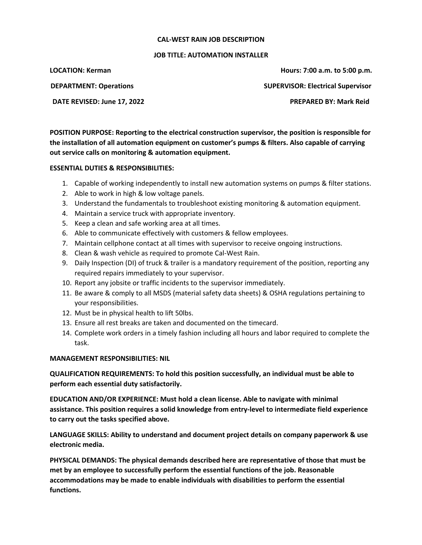## **CAL-WEST RAIN JOB DESCRIPTION**

## **JOB TITLE: AUTOMATION INSTALLER**

**LOCATION: Kerman Hours: 7:00 a.m. to 5:00 p.m. DEPARTMENT: Operations SUPERVISOR: Electrical Supervisor**

**DATE REVISED: June 17, 2022 PREPARED BY: Mark Reid**

**POSITION PURPOSE: Reporting to the electrical construction supervisor, the position is responsible for the installation of all automation equipment on customer's pumps & filters. Also capable of carrying out service calls on monitoring & automation equipment.**

## **ESSENTIAL DUTIES & RESPONSIBILITIES:**

- 1. Capable of working independently to install new automation systems on pumps & filter stations.
- 2. Able to work in high & low voltage panels.
- 3. Understand the fundamentals to troubleshoot existing monitoring & automation equipment.
- 4. Maintain a service truck with appropriate inventory.
- 5. Keep a clean and safe working area at all times.
- 6. Able to communicate effectively with customers & fellow employees.
- 7. Maintain cellphone contact at all times with supervisor to receive ongoing instructions.
- 8. Clean & wash vehicle as required to promote Cal-West Rain.
- 9. Daily Inspection (DI) of truck & trailer is a mandatory requirement of the position, reporting any required repairs immediately to your supervisor.
- 10. Report any jobsite or traffic incidents to the supervisor immediately.
- 11. Be aware & comply to all MSDS (material safety data sheets) & OSHA regulations pertaining to your responsibilities.
- 12. Must be in physical health to lift 50lbs.
- 13. Ensure all rest breaks are taken and documented on the timecard.
- 14. Complete work orders in a timely fashion including all hours and labor required to complete the task.

## **MANAGEMENT RESPONSIBILITIES: NIL**

**QUALIFICATION REQUIREMENTS: To hold this position successfully, an individual must be able to perform each essential duty satisfactorily.**

**EDUCATION AND/OR EXPERIENCE: Must hold a clean license. Able to navigate with minimal assistance. This position requires a solid knowledge from entry-level to intermediate field experience to carry out the tasks specified above.**

**LANGUAGE SKILLS: Ability to understand and document project details on company paperwork & use electronic media.**

**PHYSICAL DEMANDS: The physical demands described here are representative of those that must be met by an employee to successfully perform the essential functions of the job. Reasonable accommodations may be made to enable individuals with disabilities to perform the essential functions.**